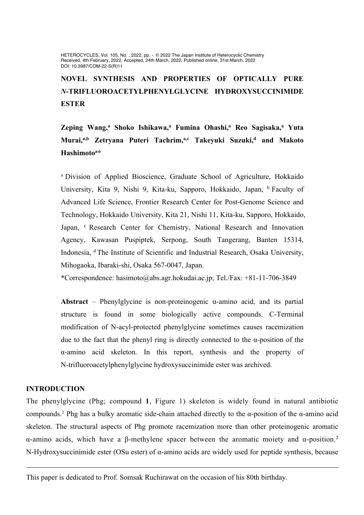HETEROCYCLES, Vol. 105, No. , 2022, pp. -. © 2022 The Japan Institute of Heterocyclic Chemistry Received, 4th February, 2022, Accepted, 24th March, 2022, Published online, 31st March, 2022 DOI: 10.3987/COM-22-S(R)11

# **NOVEL SYNTHESIS AND PROPERTIES OF OPTICALLY PURE**  *N***-TRIFLUOROACETYLPHENYLGLYCINE HYDROXYSUCCINIMIDE ESTER**

**Zeping Wang, <sup>a</sup> Shoko Ishikawa, <sup>a</sup> Fumina Ohashi,<sup>a</sup> Reo Sagisaka,<sup>a</sup> Yuta Murai,a,b Zetryana Puteri Tachrim,a,c Takeyuki Suzuki,<sup>d</sup> and Makoto Hashimoto<sup>a</sup> \***

a Division of Applied Bioscience, Graduate School of Agriculture, Hokkaido University, Kita 9, Nishi 9, Kita-ku, Sapporo, Hokkaido, Japan, <sup>b</sup> Faculty of Advanced Life Science, Frontier Research Center for Post-Genome Science and Technology, Hokkaido University, Kita 21, Nishi 11, Kita-ku, Sapporo, Hokkaido, Japan, <sup>c</sup> Research Center for Chemistry, National Research and Innovation Agency, Kawasan Puspiptek, Serpong, South Tangerang, Banten 15314, Indonesia, d The Institute of Scientific and Industrial Research, Osaka University, Mihogaoka, Ibaraki-shi, Osaka 567-0047, Japan.

**\***Correspondence: hasimoto@abs.agr.hokudai.ac.jp; Tel./Fax: +81-11-706-3849

**Abstract** – Phenylglycine is non-proteinogenic  $\alpha$ -amino acid, and its partial structure is found in some biologically active compounds. C-Terminal modification of N-acyl-protected phenylglycine sometimes causes racemization due to the fact that the phenyl ring is directly connected to the  $\alpha$ -position of the α-amino acid skeleton. In this report, synthesis and the property of N-trifluoroacetylphenylglycine hydroxysuccinimide ester was archived.

# **INTRODUCTION**

The phenylglycine (Phg; compound **1**, Figure 1) skeleton is widely found in natural antibiotic compounds.<sup>1</sup> Phg has a bulky aromatic side-chain attached directly to the  $\alpha$ -position of the  $\alpha$ -amino acid skeleton. The structural aspects of Phg promote racemization more than other proteinogenic aromatic α-amino acids, which have a β-methylene spacer between the aromatic moiety and α-position.2 N-Hydroxysuccinimide ester (OSu ester) of α-amino acids are widely used for peptide synthesis, because

This paper is dedicated to Prof. Somsak Ruchirawat on the occasion of his 80th birthday.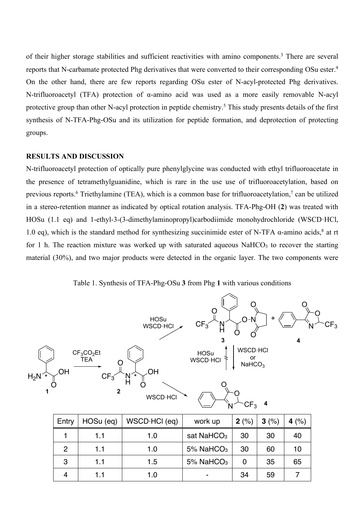of their higher storage stabilities and sufficient reactivities with amino components.3 There are several reports that N-carbamate protected Phg derivatives that were converted to their corresponding OSu ester.4 On the other hand, there are few reports regarding OSu ester of N-acyl-protected Phg derivatives. N-trifluoroacetyl (TFA) protection of α-amino acid was used as a more easily removable N-acyl protective group than other N-acyl protection in peptide chemistry. <sup>5</sup> This study presents details of the first synthesis of N-TFA-Phg-OSu and its utilization for peptide formation, and deprotection of protecting groups.

#### **RESULTS AND DISCUSSION**

N-trifluoroacetyl protection of optically pure phenylglycine was conducted with ethyl trifluoroacetate in the presence of tetramethylguanidine, which is rare in the use use of trifluoroacetylation, based on previous reports.<sup>6</sup> Triethylamine (TEA), which is a common base for trifluoroacetylation,<sup>7</sup> can be utilized in a stereo-retention manner as indicated by optical rotation analysis. TFA-Phg-OH (**2**) was treated with HOSu (1.1 eq) and 1-ethyl-3-(3-dimethylaminopropyl)carbodiimide monohydrochloride (WSCD·HCl, 1.0 eq), which is the standard method for synthesizing succinimide ester of N-TFA α-amino acids,<sup>8</sup> at rt for 1 h. The reaction mixture was worked up with saturated aqueous NaHCO3 to recover the starting material (30%), and two major products were detected in the organic layer. The two components were

Table 1. Synthesis of TFA-Phg-OSu **3** from Phg **1** with various conditions

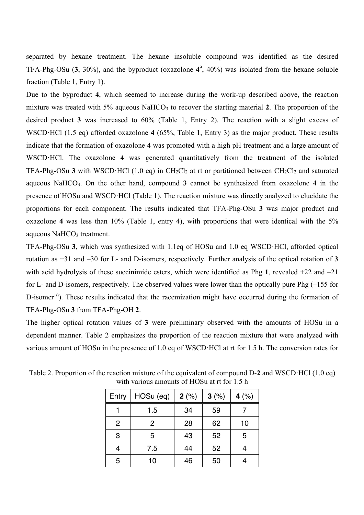separated by hexane treatment. The hexane insoluble compound was identified as the desired TFA-Phg-OSu (**3**, 30%), and the byproduct (oxazolone **4**<sup>9</sup> , 40%) was isolated from the hexane soluble fraction (Table 1, Entry 1).

Due to the byproduct **4**, which seemed to increase during the work-up described above, the reaction mixture was treated with 5% aqueous NaHCO<sub>3</sub> to recover the starting material 2. The proportion of the desired product **3** was increased to 60% (Table 1, Entry 2). The reaction with a slight excess of WSCD·HCl (1.5 eq) afforded oxazolone **4** (65%, Table 1, Entry 3) as the major product. These results indicate that the formation of oxazolone **4** was promoted with a high pH treatment and a large amount of WSCD·HCl. The oxazolone **4** was generated quantitatively from the treatment of the isolated TFA-Phg-OSu 3 with WSCD·HCl (1.0 eq) in  $CH_2Cl_2$  at rt or partitioned between  $CH_2Cl_2$  and saturated aqueous NaHCO3. On the other hand, compound **3** cannot be synthesized from oxazolone **4** in the presence of HOSu and WSCD·HCl (Table 1). The reaction mixture was directly analyzed to elucidate the proportions for each component. The results indicated that TFA-Phg-OSu **3** was major product and oxazolone **4** was less than 10% (Table 1, entry 4), with proportions that were identical with the 5% aqueous NaHCO<sub>3</sub> treatment.

TFA-Phg-OSu **3**, which was synthesized with 1.1eq of HOSu and 1.0 eq WSCD·HCl, afforded optical rotation as +31 and –30 for L- and D-isomers, respectively. Further analysis of the optical rotation of **3** with acid hydrolysis of these succinimide esters, which were identified as Phg **1**, revealed +22 and –21 for L- and D-isomers, respectively. The observed values were lower than the optically pure Phg (–155 for D-isomer<sup>10</sup>). These results indicated that the racemization might have occurred during the formation of TFA-Phg-OSu **3** from TFA-Phg-OH **2**.

The higher optical rotation values of **3** were preliminary observed with the amounts of HOSu in a dependent manner. Table 2 emphasizes the proportion of the reaction mixture that were analyzed with various amount of HOSu in the presence of 1.0 eq of WSCD·HCl at rt for 1.5 h. The conversion rates for

| Entry          | HOSu (eq)      | $2(\%)$ | 3(%) | 4 $(\% )$ |
|----------------|----------------|---------|------|-----------|
|                | 1.5            | 34      | 59   |           |
| $\overline{2}$ | $\overline{2}$ | 28      | 62   | 10        |
| 3              | 5              | 43      | 52   | 5         |
| 4              | 7.5            | 44      | 52   |           |
| 5              | 10             | 46      | 50   |           |

Table 2. Proportion of the reaction mixture of the equivalent of compound D-**2** and WSCD·HCl (1.0 eq) with various amounts of HOSu at rt for 1.5 h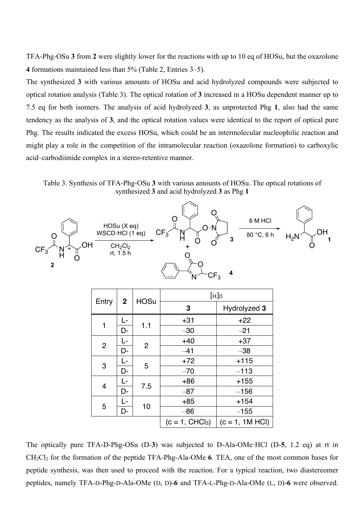TFA-Phg-OSu **3** from **2** were slightly lower for the reactions with up to 10 eq of HOSu, but the oxazolone **4** formations maintained less than 5% (Table 2, Entries 3–5).

The synthesized **3** with various amounts of HOSu and acid hydrolyzed compounds were subjected to optical rotation analysis (Table 3). The optical rotation of **3** increased in a HOSu dependent manner up to 7.5 eq for both isomers. The analysis of acid hydrolyzed **3**, as unprotected Phg **1**, also had the same tendency as the analysis of **3**, and the optical rotation values were identical to the report of optical pure Phg. The results indicated the excess HOSu, which could be an intermolecular nucleophilic reaction and might play a role in the competition of the intramolecular reaction (oxazolone formation) to carboxylic acid–carbodiimide complex in a stereo-retentive manner.

Table 3. Synthesis of TFA-Phg-OSu **3** with various amounts of HOSu. The optical rotations of synthesized **3** and acid hydrolyzed **3** as Phg **1**



| Entry          | $\mathbf{2}$ | <b>HOSu</b>    | $[\alpha]_D$     |                   |  |  |
|----------------|--------------|----------------|------------------|-------------------|--|--|
|                |              |                | 3                | Hydrolyzed 3      |  |  |
| 1              | L-           | 1.1            | $+31$            | $+22$             |  |  |
|                | D-           |                | $-30$            | $-21$             |  |  |
| $\overline{2}$ | L-           | $\overline{2}$ | $+40$            | $+37$             |  |  |
|                | D-           |                | $-41$            | $-38$             |  |  |
| 3              | Ŀ            | 5              | $+72$            | $+115$            |  |  |
|                | D-           |                | $-70$            | $-113$            |  |  |
|                | L-           |                | $+86$            | $+155$            |  |  |
| $\overline{4}$ | D-           | 7.5            | $-87$            | $-156$            |  |  |
| 5              | Ŀ            |                | $+85$            | $+154$            |  |  |
|                | D-           | 10             | $-86$            | $-155$            |  |  |
|                |              |                | $(c = 1, CHCl3)$ | $(c = 1, 1M HCl)$ |  |  |

The optically pure TFA-D-Phg-OSu (D-**3**) was subjected to D-Ala-OMe·HCl (D-**5**, 1.2 eq) at rt in CH2Cl2 for the formation of the peptide TFA-Phg-Ala-OMe **6**. TEA, one of the most common bases for peptide synthesis, was then used to proceed with the reaction. For a typical reaction, two diastereomer peptides, namely TFA-D-Phg-D-Ala-OMe (D, D)-**6** and TFA-L-Phg-D-Ala-OMe (L, D)-**6** were observed.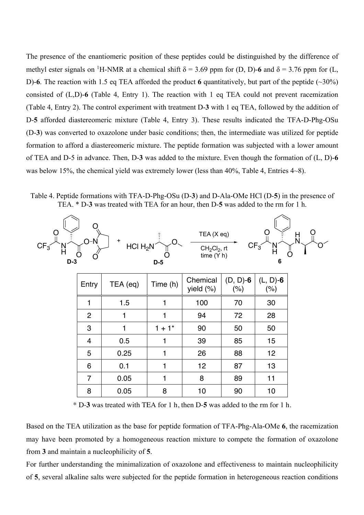The presence of the enantiomeric position of these peptides could be distinguished by the difference of methyl ester signals on <sup>1</sup>H-NMR at a chemical shift  $\delta$  = 3.69 ppm for (D, D)-6 and  $\delta$  = 3.76 ppm for (L, D)-**6**. The reaction with 1.5 eq TEA afforded the product **6** quantitatively, but part of the peptide (~30%) consisted of (L,D)-**6** (Table 4, Entry 1). The reaction with 1 eq TEA could not prevent racemization (Table 4, Entry 2). The control experiment with treatment D-**3** with 1 eq TEA, followed by the addition of D-**5** afforded diastereomeric mixture (Table 4, Entry 3). These results indicated the TFA-D-Phg-OSu (D-**3**) was converted to oxazolone under basic conditions; then, the intermediate was utilized for peptide formation to afford a diastereomeric mixture. The peptide formation was subjected with a lower amount of TEA and D-5 in advance. Then, D-**3** was added to the mixture. Even though the formation of (L, D)-**6** was below 15%, the chemical yield was extremely lower (less than 40%, Table 4, Entries 4~8).

Table 4. Peptide formations with TFA-D-Phg-OSu (D-**3**) and D-Ala-OMe HCl (D-**5**) in the presence of TEA. \* D-**3** was treated with TEA for an hour, then D-**5** was added to the rm for 1 h.



\* D-**3** was treated with TEA for 1 h, then D-**5** was added to the rm for 1 h.

Based on the TEA utilization as the base for peptide formation of TFA-Phg-Ala-OMe **6**, the racemization may have been promoted by a homogeneous reaction mixture to compete the formation of oxazolone from **3** and maintain a nucleophilicity of **5**.

For further understanding the minimalization of oxazolone and effectiveness to maintain nucleophilicity of **5**, several alkaline salts were subjected for the peptide formation in heterogeneous reaction conditions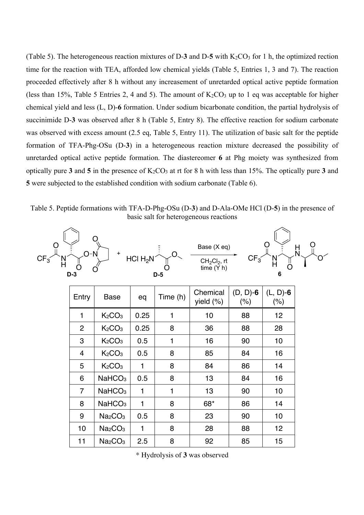(Table 5). The heterogeneous reaction mixtures of D-3 and D-5 with  $K_2CO_3$  for 1 h, the optimized rection time for the reaction with TEA, afforded low chemical yields (Table 5, Entries 1, 3 and 7). The reaction proceeded effectively after 8 h without any increasement of unretarded optical active peptide formation (less than 15%, Table 5 Entries 2, 4 and 5). The amount of  $K_2CO_3$  up to 1 eq was acceptable for higher chemical yield and less (L, D)-**6** formation. Under sodium bicarbonate condition, the partial hydrolysis of succinimide D-**3** was observed after 8 h (Table 5, Entry 8). The effective reaction for sodium carbonate was observed with excess amount (2.5 eq, Table 5, Entry 11). The utilization of basic salt for the peptide formation of TFA-Phg-OSu (D-**3**) in a heterogeneous reaction mixture decreased the possibility of unretarded optical active peptide formation. The diastereomer **6** at Phg moiety was synthesized from optically pure 3 and 5 in the presence of  $K_2CO_3$  at rt for 8 h with less than 15%. The optically pure 3 and **5** were subjected to the established condition with sodium carbonate (Table 6).

Table 5. Peptide formations with TFA-D-Phg-OSu (D-**3**) and D-Ala-OMe HCl (D-**5**) in the presence of basic salt for heterogeneous reactions

| CF <sub>3</sub> | $O-N$<br>$D-3$ | O<br>$\ddot{}$                  | HCI H <sub>2</sub> N | $D-5$        | Base (X eq)<br>$CH2Cl2$ , rt<br>time(Y h) | $CF_3$                 | 6                      | $\frac{\mathsf{H}}{\mathsf{N}}$ |
|-----------------|----------------|---------------------------------|----------------------|--------------|-------------------------------------------|------------------------|------------------------|---------------------------------|
|                 | Entry          | <b>Base</b>                     | eq                   | Time (h)     | Chemical<br>yield (%)                     | $(D, D)$ -6<br>$(\% )$ | $(L, D)$ -6<br>$(\% )$ |                                 |
|                 | $\mathbf{1}$   | K <sub>2</sub> CO <sub>3</sub>  | 0.25                 | $\mathbf{1}$ | 10                                        | 88                     | 12                     |                                 |
|                 | $\overline{2}$ | K <sub>2</sub> CO <sub>3</sub>  | 0.25                 | 8            | 36                                        | 88                     | 28                     |                                 |
|                 | 3              | K <sub>2</sub> CO <sub>3</sub>  | 0.5                  | $\mathbf{1}$ | 16                                        | 90                     | 10                     |                                 |
|                 | 4              | K <sub>2</sub> CO <sub>3</sub>  | 0.5                  | 8            | 85                                        | 84                     | 16                     |                                 |
|                 | 5              | K <sub>2</sub> CO <sub>3</sub>  | $\mathbf{1}$         | 8            | 84                                        | 86                     | 14                     |                                 |
|                 | 6              | NaHCO <sub>3</sub>              | 0.5                  | 8            | 13                                        | 84                     | 16                     |                                 |
|                 | $\overline{7}$ | NaHCO <sub>3</sub>              | 1                    | 1            | 13                                        | 90                     | 10                     |                                 |
|                 | 8              | NaHCO <sub>3</sub>              | 1                    | 8            | 68*                                       | 86                     | 14                     |                                 |
|                 | 9              | Na <sub>2</sub> CO <sub>3</sub> | 0.5                  | 8            | 23                                        | 90                     | 10                     |                                 |
|                 | 10             | Na <sub>2</sub> CO <sub>3</sub> | $\mathbf{1}$         | 8            | 28                                        | 88                     | 12                     |                                 |
|                 | 11             | Na <sub>2</sub> CO <sub>3</sub> | 2.5                  | 8            | 92                                        | 85                     | 15                     |                                 |

\* Hydrolysis of **3** was observed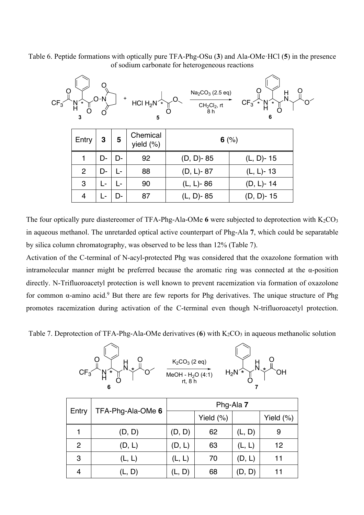Table 6. Peptide formations with optically pure TFA-Phg-OSu (**3**) and Ala-OMe·HCl (**5**) in the presence of sodium carbonate for heterogeneous reactions



The four optically pure diastereomer of TFA-Phg-Ala-OMe  $6$  were subjected to deprotection with  $K_2CO_3$ in aqueous methanol. The unretarded optical active counterpart of Phg-Ala **7**, which could be separatable by silica column chromatography, was observed to be less than 12% (Table 7).

Activation of the C-terminal of N-acyl-protected Phg was considered that the oxazolone formation with intramolecular manner might be preferred because the aromatic ring was connected at the α-position directly. N-Trifluoroacetyl protection is well known to prevent racemization via formation of oxazolone for common  $\alpha$ -amino acid.<sup>9</sup> But there are few reports for Phg derivatives. The unique structure of Phg promotes racemization during activation of the C-terminal even though N-trifluoroacetyl protection.

Table 7. Deprotection of TFA-Phg-Ala-OMe derivatives  $(6)$  with  $K_2CO_3$  in aqueous methanolic solution



| Entry          |                   | Phg-Ala 7 |           |        |              |  |
|----------------|-------------------|-----------|-----------|--------|--------------|--|
|                | TFA-Phg-Ala-OMe 6 |           | Yield (%) |        | Yield $(\%)$ |  |
|                | (D, D)            | (D, D)    | 62        | (L, D) | 9            |  |
| $\overline{2}$ | (D, L)            | (D, L)    | 63        | (L, L) | 12           |  |
| 3              | (L, L)            | (L, L)    | 70        | (D, L) | 11           |  |
|                | (L, D)            | (L, D)    | 68        | D, D)  |              |  |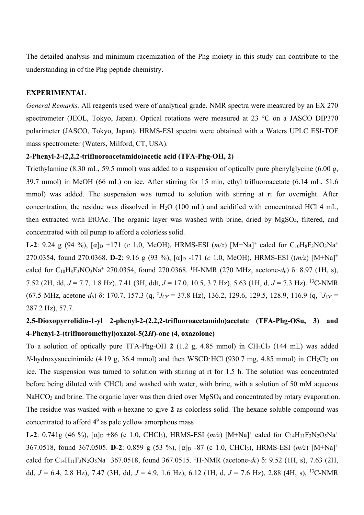The detailed analysis and minimum racemization of the Phg moiety in this study can contribute to the understanding in of the Phg peptide chemistry.

#### **EXPERIMENTAL**

*General Remarks.* All reagents used were of analytical grade. NMR spectra were measured by an EX 270 spectrometer (JEOL, Tokyo, Japan). Optical rotations were measured at 23 °C on a JASCO DIP370 polarimeter (JASCO, Tokyo, Japan). HRMS-ESI spectra were obtained with a Waters UPLC ESI-TOF mass spectrometer (Waters, Milford, CT, USA).

#### **2-Phenyl-2-(2,2,2-trifluoroacetamido)acetic acid (TFA-Phg-OH, 2)**

Triethylamine (8.30 mL, 59.5 mmol) was added to a suspension of optically pure phenylglycine (6.00 g, 39.7 mmol) in MeOH (66 mL) on ice. After stirring for 15 min, ethyl trifluoroacetate (6.14 mL, 51.6 mmol) was added. The suspension was turned to solution with stirring at rt for overnight. After concentration, the residue was dissolved in  $H_2O$  (100 mL) and acidified with concentrated HCl 4 mL, then extracted with EtOAc. The organic layer was washed with brine, dried by MgSO4, filtered, and concentrated with oil pump to afford a colorless solid.

**L-2**: 9.24 g (94 %),  $[\alpha]_D$  +171 (*c* 1.0, MeOH), HRMS-ESI ( $m/z$ ) [M+Na]<sup>+</sup> calcd for C<sub>10</sub>H<sub>8</sub>F<sub>3</sub>NO<sub>3</sub>Na<sup>+</sup> 270.0354, found 270.0368. **D-2**: 9.16 g (93 %), [α]D -171 (*c* 1.0, MeOH), HRMS-ESI ((*m/z*) [M+Na]+ calcd for C10H8F3NO3Na+ 270.0354, found 270.0368. 1 H-NMR (270 MHz, acetone-*d*6) δ: 8.97 (1H, s), 7.52 (2H, dd, *J* = 7.7, 1.8 Hz), 7.41 (3H, ddt, *J* = 17.0, 10.5, 3.7 Hz), 5.63 (1H, d, *J* = 7.3 Hz). 13C-NMR (67.5 MHz, acetone-*d*<sub>6</sub>) δ: 170.7, 157.3 (q, <sup>2</sup>*J<sub>CF</sub>* = 37.8 Hz), 136.2, 129.6, 129.5, 128.9, 116.9 (q, <sup>1</sup>*J<sub>CF</sub>* = 287.2 Hz), 57.7.

# **2,5-Dioxopyrrolidin-1-yl 2-phenyl-2-(2,2,2-trifluoroacetamido)acetate (TFA-Phg-OSu, 3) and 4-Phenyl-2-(trifluoromethyl)oxazol-5(2***H***)-one (4, oxazolone)**

To a solution of optically pure TFA-Phg-OH 2 (1.2 g,  $4.85$  mmol) in CH<sub>2</sub>Cl<sub>2</sub> (144 mL) was added *N*-hydroxysuccinimide (4.19 g, 36.4 mmol) and then WSCD·HCl (930.7 mg, 4.85 mmol) in CH<sub>2</sub>Cl<sub>2</sub> on ice. The suspension was turned to solution with stirring at rt for 1.5 h. The solution was concentrated before being diluted with CHCl<sub>3</sub> and washed with water, with brine, with a solution of 50 mM aqueous NaHCO<sub>3</sub> and brine. The organic layer was then dried over MgSO<sub>4</sub> and concentrated by rotary evaporation. The residue was washed with *n*-hexane to give **2** as colorless solid. The hexane soluble compound was concentrated to afford **4**<sup>9</sup> as pale yellow amorphous mass

**L-2**: 0.741g (46 %),  $[\alpha]_D$  +86 (c 1.0, CHCl<sub>3</sub>), HRMS-ESI ( $m/z$ ) [M+Na]<sup>+</sup> calcd for C<sub>14</sub>H<sub>11</sub>F<sub>3</sub>N<sub>2</sub>O<sub>5</sub>Na<sup>+</sup> 367.0518, found 367.0505. **D-2**: 0.859 g (53 %), [α]D -87 (c 1.0, CHCl3), HRMS-ESI (*m/z*) [M+Na]+ calcd for C14H11F3N2O5Na+ 367.0518, found 367.0515. 1 H-NMR (acetone-*d*6) δ: 9.52 (1H, s), 7.63 (2H, dd, *J* = 6.4, 2.8 Hz), 7.47 (3H, dd, *J* = 4.9, 1.6 Hz), 6.12 (1H, d, *J* = 7.6 Hz), 2.88 (4H, s), 13C-NMR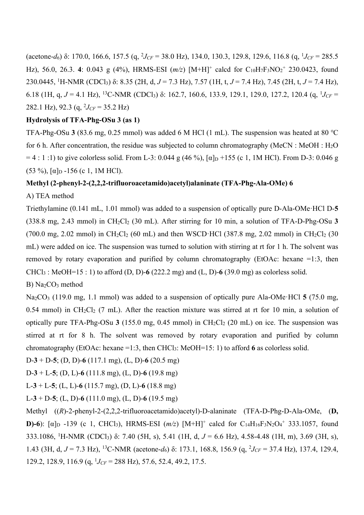(acetone-*d*<sub>6</sub>) δ: 170.0, 166.6, 157.5 (q, <sup>2</sup>*J<sub>CF</sub>* = 38.0 Hz), 134.0, 130.3, 129.8, 129.6, 116.8 (q, <sup>1</sup>*J<sub>CF</sub>* = 285.5 Hz), 56.0, 26.3. 4: 0.043 g (4%), HRMS-ESI ( $m/z$ ) [M+H]<sup>+</sup> calcd for C<sub>10</sub>H<sub>7</sub>F<sub>3</sub>NO<sub>2</sub><sup>+</sup> 230.0423, found 230.0445, <sup>1</sup> H-NMR (CDCl3) δ: 8.35 (2H, d, *J* = 7.3 Hz), 7.57 (1H, t, *J* = 7.4 Hz), 7.45 (2H, t, *J* = 7.4 Hz), 6.18 (1H, q,  $J = 4.1$  Hz), <sup>13</sup>C-NMR (CDCl<sub>3</sub>) δ: 162.7, 160.6, 133.9, 129.1, 129.0, 127.2, 120.4 (q, <sup>1</sup> $J_{CF}$  = 282.1 Hz), 92.3 (q, 2 *JCF* = 35.2 Hz)

### **Hydrolysis of TFA-Phg-OSu 3 (as 1)**

TFA-Phg-OSu **3** (83.6 mg, 0.25 mmol) was added 6 M HCl (1 mL). The suspension was heated at 80 ℃ for 6 h. After concentration, the residue was subjected to column chromatography (MeCN : MeOH :  $H_2O$  $= 4 : 1 : 1$ ) to give colorless solid. From L-3: 0.044 g (46 %),  $\alpha \ln 155$  (c 1, 1M HCl). From D-3: 0.046 g (53 %),  $\lceil \alpha \rceil_{\text{D}}$  -156 (c 1, 1M HCl).

#### **Methyl (2-phenyl-2-(2,2,2-trifluoroacetamido)acetyl)alaninate (TFA-Phg-Ala-OMe) 6**

# A) TEA method

Triethylamine (0.141 mL, 1.01 mmol) was added to a suspension of optically pure D-Ala-OMe·HCl D-**5** (338.8 mg, 2.43 mmol) in CH2Cl2 (30 mL). After stirring for 10 min, a solution of TFA-D-Phg-OSu **3** (700.0 mg, 2.02 mmol) in CH<sub>2</sub>Cl<sub>2</sub> (60 mL) and then WSCD·HCl (387.8 mg, 2.02 mmol) in CH<sub>2</sub>Cl<sub>2</sub> (30 mL) were added on ice. The suspension was turned to solution with stirring at rt for 1 h. The solvent was removed by rotary evaporation and purified by column chromatography (EtOAc: hexane =1:3, then  $CHCl<sub>3</sub>$ : MeOH=15 : 1) to afford (D, D)-6 (222.2 mg) and (L, D)-6 (39.0 mg) as colorless solid.

B) Na2CO3 method

Na2CO3 (119.0 mg, 1.1 mmol) was added to a suspension of optically pure Ala-OMe·HCl **5** (75.0 mg, 0.54 mmol) in CH<sub>2</sub>Cl<sub>2</sub> (7 mL). After the reaction mixture was stirred at rt for 10 min, a solution of optically pure TFA-Phg-OSu  $3(155.0 \text{ mg}, 0.45 \text{ mmol})$  in  $CH_2Cl_2(20 \text{ mL})$  on ice. The suspension was stirred at rt for 8 h. The solvent was removed by rotary evaporation and purified by column chromatography (EtOAc: hexane =1:3, then CHCl3: MeOH=15: 1) to afford **6** as colorless solid.

D-**3** + D-**5**; (D, D)-**6** (117.1 mg), (L, D)-**6** (20.5 mg)

D-**3** + L-**5**; (D, L)-**6** (111.8 mg), (L, D)-**6** (19.8 mg)

L-**3** + L-**5**; (L, L)-**6** (115.7 mg), (D, L)-**6** (18.8 mg)

L-**3** + D-**5**; (L, D)-**6** (111.0 mg), (L, D)-**6** (19.5 mg)

Methyl ((*R*)-2-phenyl-2-(2,2,2-trifluoroacetamido)acetyl)-D-alaninate (TFA-D-Phg-D-Ala-OMe, (**D, D)-6**): [ $\alpha$ ]<sub>D</sub> -139 (c 1, CHCl<sub>3</sub>), HRMS-ESI ( $m/z$ ) [M+H]<sup>+</sup> calcd for C<sub>14</sub>H<sub>16</sub>F<sub>3</sub>N<sub>2</sub>O<sub>4</sub><sup>+</sup> 333.1057, found 333.1086, 1 H-NMR (CDCl3) δ: 7.40 (5H, s), 5.41 (1H, d, *J* = 6.6 Hz), 4.58-4.48 (1H, m), 3.69 (3H, s), 1.43 (3H, d, *J* = 7.3 Hz), <sup>13</sup>C-NMR (acetone-*d*<sub>6</sub>) δ: 173.1, 168.8, 156.9 (q, <sup>2</sup>*J<sub>CF</sub>* = 37.4 Hz), 137.4, 129.4, 129.2, 128.9, 116.9 (q, 1 *JCF* = 288 Hz), 57.6, 52.4, 49.2, 17.5.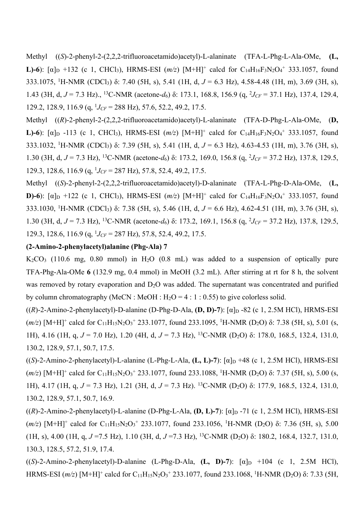Methyl ((*S*)-2-phenyl-2-(2,2,2-trifluoroacetamido)acetyl)-L-alaninate (TFA-L-Phg-L-Ala-OMe, **(L, L**)-6): [ $\alpha$ ]<sub>D</sub> +132 (c 1, CHCl<sub>3</sub>), HRMS-ESI ( $m/z$ ) [M+H]<sup>+</sup> calcd for C<sub>14</sub>H<sub>16</sub>F<sub>3</sub>N<sub>2</sub>O<sub>4</sub><sup>+</sup> 333.1057, found 333.1075, 1 H-NMR (CDCl3) δ: 7.40 (5H, s), 5.41 (1H, d, *J* = 6.3 Hz), 4.58-4.48 (1H, m), 3.69 (3H, s), 1.43 (3H, d, *J* = 7.3 Hz)., <sup>13</sup>C-NMR (acetone-*d*<sub>6</sub>) δ: 173.1, 168.8, 156.9 (q, <sup>2</sup>*J<sub>CF</sub>* = 37.1 Hz), 137.4, 129.4, 129.2, 128.9, 116.9 (q, 1 *JCF* = 288 Hz), 57.6, 52.2, 49.2, 17.5.

Methyl ((*R*)-2-phenyl-2-(2,2,2-trifluoroacetamido)acetyl)-L-alaninate (TFA-D-Phg-L-Ala-OMe, (**D, L)-6**): [ $\alpha$ ]<sub>D</sub> -113 (c 1, CHCl<sub>3</sub>), HRMS-ESI ( $m/z$ ) [M+H]<sup>+</sup> calcd for C<sub>14</sub>H<sub>16</sub>F<sub>3</sub>N<sub>2</sub>O<sub>4</sub><sup>+</sup> 333.1057, found 333.1032, <sup>1</sup> H-NMR (CDCl3) δ: 7.39 (5H, s), 5.41 (1H, d, *J* = 6.3 Hz), 4.63-4.53 (1H, m), 3.76 (3H, s), 1.30 (3H, d, *J* = 7.3 Hz), <sup>13</sup>C-NMR (acetone-*d*<sub>6</sub>) δ: 173.2, 169.0, 156.8 (q, <sup>2</sup>*J<sub>CF</sub>* = 37.2 Hz), 137.8, 129.5, 129.3, 128.6, 116.9 (q, 1 *JCF* = 287 Hz), 57.8, 52.4, 49.2, 17.5.

Methyl ((*S*)-2-phenyl-2-(2,2,2-trifluoroacetamido)acetyl)-D-alaninate (TFA-L-Phg-D-Ala-OMe, (**L, D)-6**): [ $\alpha$ ]<sub>D</sub> +122 (c 1, CHCl<sub>3</sub>), HRMS-ESI ( $m/z$ ) [M+H]<sup>+</sup> calcd for C<sub>14</sub>H<sub>16</sub>F<sub>3</sub>N<sub>2</sub>O<sub>4</sub><sup>+</sup> 333.1057, found 333.1030, <sup>1</sup> H-NMR (CDCl3) δ: 7.38 (5H, s), 5.46 (1H, d, *J* = 6.6 Hz), 4.62-4.51 (1H, m), 3.76 (3H, s), 1.30 (3H, d, *J* = 7.3 Hz), <sup>13</sup>C-NMR (acetone-*d*<sub>6</sub>) δ: 173.2, 169.1, 156.8 (q, <sup>2</sup>*J<sub>CF</sub>* = 37.2 Hz), 137.8, 129.5, 129.3, 128.6, 116.9 (q, 1 *JCF* = 287 Hz), 57.8, 52.4, 49.2, 17.5.

# **(2-Amino-2-phenylacetyl)alanine (Phg-Ala) 7**

 $K_2CO_3$  (110.6 mg, 0.80 mmol) in  $H_2O$  (0.8 mL) was added to a suspension of optically pure TFA-Phg-Ala-OMe **6** (132.9 mg, 0.4 mmol) in MeOH (3.2 mL). After stirring at rt for 8 h, the solvent was removed by rotary evaporation and  $D_2O$  was added. The supernatant was concentrated and purified by column chromatography (MeCN : MeOH :  $H_2O = 4 : 1 : 0.55$ ) to give colorless solid.

 $((R)$ -2-Amino-2-phenylacetyl)-D-alanine (D-Phg-D-Ala, **(D, D)-7**):  $[\alpha]_D$ -82 (c 1, 2.5M HCl), HRMS-ESI  $(m/z)$  [M+H]<sup>+</sup> calcd for C<sub>11</sub>H<sub>15</sub>N<sub>2</sub>O<sub>3</sub><sup>+</sup> 233.1077, found 233.1095, <sup>1</sup>H-NMR (D<sub>2</sub>O) δ: 7.38 (5H, s), 5.01 (s, 1H), 4.16 (1H, q, *J* = 7.0 Hz), 1.20 (4H, d, *J* = 7.3 Hz), 13C-NMR (D2O) δ: 178.0, 168.5, 132.4, 131.0, 130.2, 128.9, 57.1, 50.7, 17.5.

 $((S)-2-Amino-2-phenylacetyl)-L-alanine (L-Phg-L-Ala, (L, L)-7):  $[\alpha]_D +48$  (c 1, 2.5M HCl), HRMS-ESI$ (*m/z*) [M+H]<sup>+</sup> calcd for C<sub>11</sub>H<sub>15</sub>N<sub>2</sub>O<sub>3</sub><sup>+</sup> 233.1077, found 233.1088, <sup>1</sup>H-NMR (D<sub>2</sub>O) δ: 7.37 (5H, s), 5.00 (s, 1H), 4.17 (1H, q, *J* = 7.3 Hz), 1.21 (3H, d, *J* = 7.3 Hz). 13C-NMR (D2O) δ: 177.9, 168.5, 132.4, 131.0, 130.2, 128.9, 57.1, 50.7, 16.9.

 $((R)$ -2-Amino-2-phenylacetyl)-L-alanine (D-Phg-L-Ala, (D, L)-7):  $[\alpha]_D$ -71 (c 1, 2.5M HCl), HRMS-ESI ( $m/z$ ) [M+H]<sup>+</sup> calcd for C<sub>11</sub>H<sub>15</sub>N<sub>2</sub>O<sub>3</sub><sup>+</sup> 233.1077, found 233.1056, <sup>1</sup>H-NMR (D<sub>2</sub>O) δ: 7.36 (5H, s), 5.00 (1H, s), 4.00 (1H, q,  $J = 7.5$  Hz), 1.10 (3H, d,  $J = 7.3$  Hz), <sup>13</sup>C-NMR (D<sub>2</sub>O) δ: 180.2, 168.4, 132.7, 131.0, 130.3, 128.5, 57.2, 51.9, 17.4.

 $((S)-2-Amino-2-phenylacetyl)-D-alanine (L-Phg-D-Ala, (L, D)-7):  $[\alpha]_D +104$  (c 1, 2.5M HCl),$ HRMS-ESI  $(m/z)$  [M+H]<sup>+</sup> calcd for C<sub>11</sub>H<sub>15</sub>N<sub>2</sub>O<sub>3</sub><sup>+</sup> 233.1077, found 233.1068, <sup>1</sup>H-NMR (D<sub>2</sub>O) δ: 7.33 (5H,